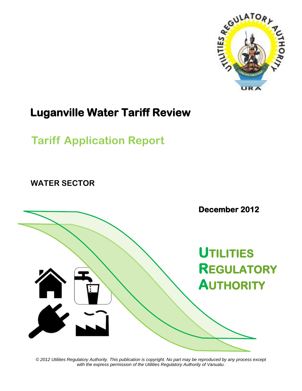

# **Luganville Water Tariff Review**

# **Tariff Application Report**

**WATER SECTOR**



*© 2012 Utilities Regulatory Authority. This publication is copyright. No part may be reproduced by any process except with the express permission of the Utilities Regulatory Authority of Vanuatu.*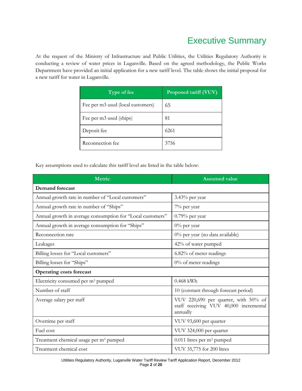## Executive Summary

At the request of the Ministry of Infrastructure and Public Utilities, the Utilities Regulatory Authority is conducting a review of water prices in Luganville. Based on the agreed methodology, the Public Works Department have provided an initial application for a new tariff level. The table shows the initial proposal for a new tariff for water in Luganville.

| Type of fee                       | Proposed tariff (VUV) |
|-----------------------------------|-----------------------|
| Fee per m3 used (local customers) | 65                    |
| Fee per m3 used (ships)           | 81                    |
| Deposit fee                       | 6261                  |
| Reconnection fee                  | 3756                  |

Key assumptions used to calculate this tariff level are listed in the table below:

| <b>Metric</b>                                              | <b>Assumed value</b>                                                                       |  |
|------------------------------------------------------------|--------------------------------------------------------------------------------------------|--|
| <b>Demand forecast</b>                                     |                                                                                            |  |
| Annual growth rate in number of "Local customers"          | $3.43\%$ per year                                                                          |  |
| Annual growth rate in number of "Ships"                    | 7% per year                                                                                |  |
| Annual growth in average consumption for "Local customers" | $0.79\%$ per year                                                                          |  |
| Annual growth in average consumption for "Ships"           | $0\%$ per year                                                                             |  |
| Reconnection rate                                          | 0% per year (no data available)                                                            |  |
| Leakages                                                   | 42% of water pumped                                                                        |  |
| Billing losses for "Local customers"                       | 6.82% of meter readings                                                                    |  |
| Billing losses for "Ships"                                 | $0\%$ of meter readings                                                                    |  |
| <b>Operating costs forecast</b>                            |                                                                                            |  |
| Electricity consumed per m <sup>3</sup> pumped             | $0.468$ kWh                                                                                |  |
| Number of staff                                            | 10 (constant through forecast period)                                                      |  |
| Average salary per staff                                   | VUV 220,690 per quarter, with 50% of<br>staff receiving VUV 40,000 incremental<br>annually |  |
| Overtime per staff                                         | VUV 93,600 per quarter                                                                     |  |
| Fuel cost                                                  | VUV 324,000 per quarter                                                                    |  |
| Treatment chemical usage per m <sup>3</sup> pumped         | $0.011$ litres per m <sup>3</sup> pumped                                                   |  |
| Treatment chemical cost                                    | VUV 35,775 for 200 litres                                                                  |  |

Utilities Regulatory Authority, Luganville Water Tariff Review Tariff Application Report, December 2012 Page **2** of **20**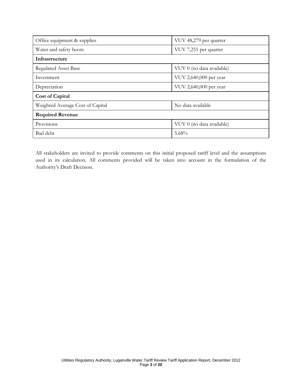| Office equipment & supplies      | VUV 48,279 per quarter    |  |
|----------------------------------|---------------------------|--|
| Water and safety boots           | VUV 7,251 per quarter     |  |
| Infrastructure                   |                           |  |
| <b>Regulated Asset Base</b>      | VUV 0 (no data available) |  |
| Investment                       | VUV 2,640,000 per year    |  |
| Depreciation                     | VUV 2,640,000 per year    |  |
| <b>Cost of Capital</b>           |                           |  |
| Weighted Average Cost of Capital | No data available         |  |
| <b>Required Revenue</b>          |                           |  |
| Provisions                       | VUV 0 (no data available) |  |
| Bad debt                         | $5.68\%$                  |  |

All stakeholders are invited to provide comments on this initial proposed tariff level and the assumptions used in its calculation. All comments provided will be taken into account in the formulation of the Authority's Draft Decision.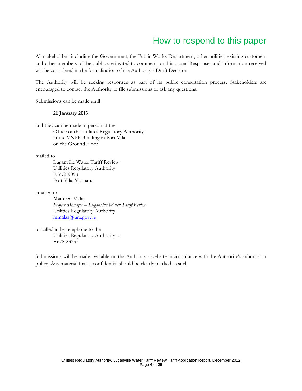## How to respond to this paper

All stakeholders including the Government, the Public Works Department, other utilities, existing customers and other members of the public are invited to comment on this paper. Responses and information received will be considered in the formalisation of the Authority's Draft Decision.

The Authority will be seeking responses as part of its public consultation process. Stakeholders are encouraged to contact the Authority to file submissions or ask any questions.

Submissions can be made until

#### **21 January 2013**

and they can be made in person at the Office of the Utilities Regulatory Authority in the VNPF Building in Port Vila on the Ground Floor

mailed to

Luganville Water Tariff Review Utilities Regulatory Authority P.M.B 9093 Port Vila, Vanuatu

emailed to

Maureen Malas *Project Manager – Luganville Water Tariff Review* Utilities Regulatory Authority [mmalas@ura.gov.vu](mailto:mmalas@ura.gov.vu)

or called in by telephone to the Utilities Regulatory Authority at +678 23335

Submissions will be made available on the Authority's website in accordance with the Authority's submission policy. Any material that is confidential should be clearly marked as such.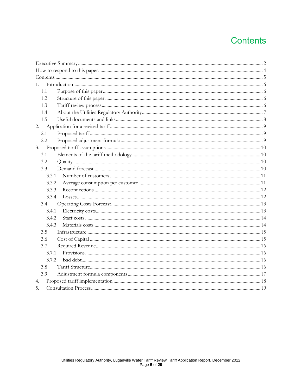## **Contents**

| 1.    |  |
|-------|--|
| 1.1   |  |
| 1.2   |  |
| 1.3   |  |
| 1.4   |  |
| 1.5   |  |
| 2.    |  |
| 2.1   |  |
| 2.2   |  |
| 3.    |  |
| 3.1   |  |
| 3.2   |  |
| 3.3   |  |
| 3.3.1 |  |
| 3.3.2 |  |
| 3.3.3 |  |
| 3.3.4 |  |
| 3.4   |  |
| 3.4.1 |  |
| 3.4.2 |  |
| 3.4.3 |  |
| 3.5   |  |
| 3.6   |  |
| 3.7   |  |
| 3.7.1 |  |
| 3.7.2 |  |
| 3.8   |  |
| 3.9   |  |
| 4.    |  |
| 5.    |  |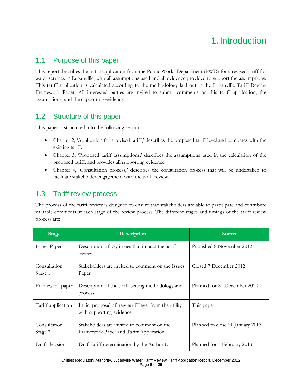## 1. Introduction

## 1.1 Purpose of this paper

This report describes the initial application from the Public Works Department (PWD) for a revised tariff for water services in Luganville, with all assumptions used and all evidence provided to support the assumptions. This tariff application is calculated according to the methodology laid out in the Luganville Tariff Review Framework Paper. All interested parties are invited to submit comments on this tariff application, the assumptions, and the supporting evidence.

## 1.2 Structure of this paper

This paper is structured into the following sections:

- Chapter 2, 'Application for a revised tariff,' describes the proposed tariff level and compares with the existing tariff.
- Chapter 3, Proposed tariff assumptions,' describes the assumptions used in the calculation of the proposed tariff, and provides all supporting evidence.
- Chapter 4, 'Consultation process,' describes the consultation process that will be undertaken to facilitate stakeholder engagement with the tariff review.

## 1.3 Tariff review process

The process of the tariff review is designed to ensure that stakeholders are able to participate and contribute valuable comments at each stage of the review process. The different stages and timings of the tariff review process are:

| <b>Stage</b>            | <b>Description</b>                                                                   | <b>Status</b>                    |
|-------------------------|--------------------------------------------------------------------------------------|----------------------------------|
| Issues Paper            | Description of key issues that impact the tariff<br>review                           | Published 8 November 2012        |
| Consultation<br>Stage 1 | Stakeholders are invited to comment on the Issues<br>Paper                           | Closed 7 December 2012           |
| Framework paper         | Description of the tariff-setting methodology and<br>process                         | Planned for 21 December 2012     |
| Tariff application      | Initial proposal of new tariff level from the utility<br>with supporting evidence    | This paper                       |
| Consultation<br>Stage 2 | Stakeholders are invited to comment on the<br>Framework Paper and Tariff Application | Planned to close 21 January 2013 |
| Draft decision          | Draft tariff determination by the Authority                                          | Planned for 1 February 2013      |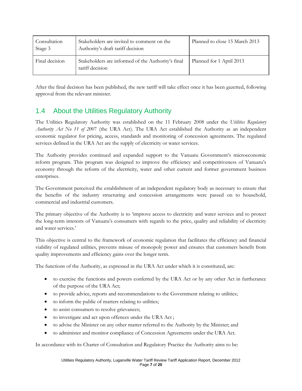| Consultation<br>Stage 3 | Stakeholders are invited to comment on the<br>Authority's draft tariff decision | Planned to close 15 March 2013 |
|-------------------------|---------------------------------------------------------------------------------|--------------------------------|
| Final decision          | Stakeholders are informed of the Authority's final<br>tariff decision           | Planned for 1 April 2013       |

After the final decision has been published, the new tariff will take effect once it has been gazetted, following approval from the relevant minister.

## 1.4 About the Utilities Regulatory Authority

The Utilities Regulatory Authority was established on the 11 February 2008 under the *Utilities Regulatory Authority Act No 11 of 20*07 (the URA Act). The URA Act established the Authority as an independent economic regulator for pricing, access, standards and monitoring of concession agreements. The regulated services defined in the URA Act are the supply of electricity or water services.

The Authority provides continued and expanded support to the Vanuatu Government's microeconomic reform program. This program was designed to improve the efficiency and competitiveness of Vanuatu's economy through the reform of the electricity, water and other current and former government business enterprises.

The Government perceived the establishment of an independent regulatory body as necessary to ensure that the benefits of the industry structuring and concession arrangements were passed on to household, commercial and industrial customers.

The primary objective of the Authority is to 'improve access to electricity and water services and to protect the long-term interests of Vanuatu's consumers with regards to the price, quality and reliability of electricity and water services.'

This objective is central to the framework of economic regulation that facilitates the efficiency and financial viability of regulated utilities, prevents misuse of monopoly power and ensures that customers benefit from quality improvements and efficiency gains over the longer term.

The functions of the Authority, as expressed in the URA Act under which it is constituted, are:

- to exercise the functions and powers conferred by the URA Act or by any other Act in furtherance of the purpose of the URA Act;
- to provide advice, reports and recommendations to the Government relating to utilities;
- to inform the public of matters relating to utilities;
- to assist consumers to resolve grievances;
- to investigate and act upon offences under the URA Act ;
- to advise the Minister on any other matter referred to the Authority by the Minister; and
- to administer and monitor compliance of Concession Agreements under the URA Act.

In accordance with its Charter of Consultation and Regulatory Practice the Authority aims to be: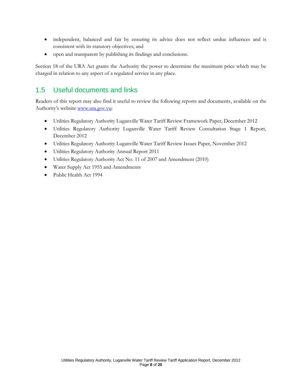- independent, balanced and fair by ensuring its advice does not reflect undue influences and is consistent with its statutory objectives; and
- open and transparent by publishing its findings and conclusions.

Section 18 of the URA Act grants the Authority the power to determine the maximum price which may be charged in relation to any aspect of a regulated service in any place.

## 1.5 Useful documents and links

Readers of this report may also find it useful to review the following reports and documents, available on the Authority's website [www.ura.gov.vu:](http://www.ura.gov.vu/)

- Utilities Regulatory Authority Luganville Water Tariff Review Framework Paper, December 2012
- Utilities Regulatory Authority Luganville Water Tariff Review Consultation Stage 1 Report, December 2012
- Utilities Regulatory Authority Luganville Water Tariff Review Issues Paper, November 2012
- Utilities Regulatory Authority Annual Report 2011
- Utilities Regulatory Authority Act No. 11 of 2007 and Amendment (2010)
- Water Supply Act 1955 and Amendments
- Public Health Act 1994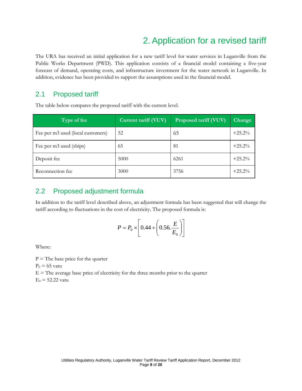## 2.Application for a revised tariff

The URA has received an initial application for a new tariff level for water services in Luganville from the Public Works Department (PWD). This application consists of a financial model containing a five-year forecast of demand, operating costs, and infrastructure investment for the water network in Luganville. In addition, evidence has been provided to support the assumptions used in the financial model.

### 2.1 Proposed tariff

The table below compares the proposed tariff with the current level.

| Type of fee                       | Current tariff (VUV) | Proposed tariff (VUV) | <b>Change</b> |
|-----------------------------------|----------------------|-----------------------|---------------|
| Fee per m3 used (local customers) | 52                   | 65                    | $+25.2%$      |
| Fee per m3 used (ships)           | 65                   | 81                    | $+25.2%$      |
| Deposit fee                       | 5000                 | 6261                  | $+25.2%$      |
| Reconnection fee                  | 3000                 | 3756                  | $+25.2%$      |

## 2.2 Proposed adjustment formula

In addition to the tariff level described above, an adjustment formula has been suggested that will change the tariff according to fluctuations in the cost of electricity. The proposed formula is:

$$
P = P_0 \times \left[ 0.44 + \left( 0.56 \cdot \frac{E}{E_0} \right) \right]
$$

Where:

 $P =$  The base price for the quarter

 $P_0 = 65$  vatu

 $E =$  The average base price of electricity for the three months prior to the quarter

 $E_0 = 52.22$  vatu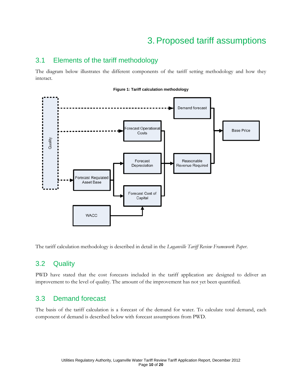## 3.Proposed tariff assumptions

### 3.1 Elements of the tariff methodology

The diagram below illustrates the different components of the tariff setting methodology and how they interact.



The tariff calculation methodology is described in detail in the *Luganville Tariff Review Framework Paper*.

### 3.2 Quality

PWD have stated that the cost forecasts included in the tariff application are designed to deliver an improvement to the level of quality. The amount of the improvement has not yet been quantified.

### 3.3 Demand forecast

The basis of the tariff calculation is a forecast of the demand for water. To calculate total demand, each component of demand is described below with forecast assumptions from PWD.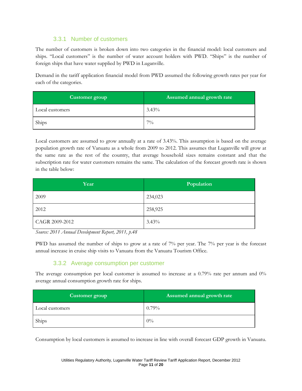#### 3.3.1 Number of customers

The number of customers is broken down into two categories in the financial model: local customers and ships. "Local customers" is the number of water account holders with PWD. "Ships" is the number of foreign ships that have water supplied by PWD in Luganville.

Demand in the tariff application financial model from PWD assumed the following growth rates per year for each of the categories.

| Customer group  | Assumed annual growth rate |
|-----------------|----------------------------|
| Local customers | $3.43\%$                   |
| Ships           | $7\%$                      |

Local customers are assumed to grow annually at a rate of 3.43%. This assumption is based on the average population growth rate of Vanuatu as a whole from 2009 to 2012. This assumes that Luganville will grow at the same rate as the rest of the country, that average household sizes remains constant and that the subscription rate for water customers remains the same. The calculation of the forecast growth rate is shown in the table below:

| Year           | Population |
|----------------|------------|
| 2009           | 234,023    |
| 2012           | 258,925    |
| CAGR 2009-2012 | 3.43%      |

*Source: 2011 Annual Development Report, 2011, p.48*

PWD has assumed the number of ships to grow at a rate of 7% per year. The 7% per year is the forecast annual increase in cruise ship visits to Vanuatu from the Vanuatu Tourism Office.

#### 3.3.2 Average consumption per customer

The average consumption per local customer is assumed to increase at a 0.79% rate per annum and 0% average annual consumption growth rate for ships.

| Customer group  | Assumed annual growth rate |
|-----------------|----------------------------|
| Local customers | $0.79\%$                   |
| Ships           | $0\%$                      |

Consumption by local customers is assumed to increase in line with overall forecast GDP growth in Vanuatu.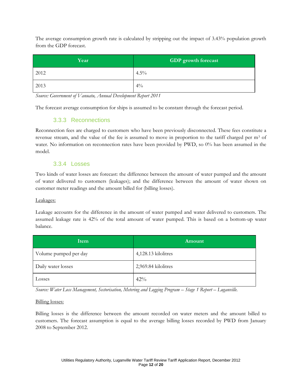The average consumption growth rate is calculated by stripping out the impact of 3.43% population growth from the GDP forecast.

| Year | GDP growth forecast |
|------|---------------------|
| 2012 | $4.5\%$             |
| 2013 | $4\%$               |

*Source: Government of Vanuatu, Annual Development Report 2011*

The forecast average consumption for ships is assumed to be constant through the forecast period.

#### 3.3.3 Reconnections

Reconnection fees are charged to customers who have been previously disconnected. These fees constitute a revenue stream, and the value of the fee is assumed to move in proportion to the tariff charged per m<sup>3</sup> of water. No information on reconnection rates have been provided by PWD, so 0% has been assumed in the model.

#### 3.3.4 Losses

Two kinds of water losses are forecast: the difference between the amount of water pumped and the amount of water delivered to customers (leakages); and the difference between the amount of water shown on customer meter readings and the amount billed for (billing losses).

#### Leakages:

Leakage accounts for the difference in the amount of water pumped and water delivered to customers. The assumed leakage rate is 42% of the total amount of water pumped. This is based on a bottom-up water balance.

| Item                  | Amount              |
|-----------------------|---------------------|
| Volume pumped per day | 4,128.13 kilolitres |
| Daily water losses    | 2,969.84 kilolitres |
| Losses                | 42%                 |

*Source: Water Loss Management, Sectorisation, Metering and Logging Program – Stage 1 Report – Luganville.*

#### Billing losses:

Billing losses is the difference between the amount recorded on water meters and the amount billed to customers. The forecast assumption is equal to the average billing losses recorded by PWD from January 2008 to September 2012.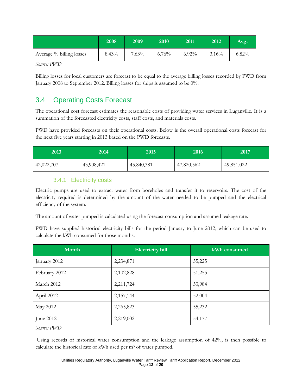|                          | 2008  | 2009     | 2010  | 2011     | 2012     | Avg.  |
|--------------------------|-------|----------|-------|----------|----------|-------|
| Average % billing losses | 8.43% | $7.63\%$ | 6.76% | $6.92\%$ | $3.16\%$ | 6.82% |
| $\sqrt{2}$<br>TITZZ      |       |          |       |          |          |       |

*Source: PWD*

Billing losses for local customers are forecast to be equal to the average billing losses recorded by PWD from January 2008 to September 2012. Billing losses for ships is assumed to be 0%.

## 3.4 Operating Costs Forecast

The operational cost forecast estimates the reasonable costs of providing water services in Luganville. It is a summation of the forecasted electricity costs, staff costs, and materials costs.

PWD have provided forecasts on their operational costs. Below is the overall operational costs forecast for the next five years starting in 2013 based on the PWD forecasts.

| 2013       | 2014       | 2015       | 2016'      | 2017       |
|------------|------------|------------|------------|------------|
| 42,022,707 | 43,908,421 | 45,840,381 | 47,820,562 | 49,851,022 |

#### 3.4.1 Electricity costs

Electric pumps are used to extract water from boreholes and transfer it to reservoirs. The cost of the electricity required is determined by the amount of the water needed to be pumped and the electrical efficiency of the system.

The amount of water pumped is calculated using the forecast consumption and assumed leakage rate.

PWD have supplied historical electricity bills for the period January to June 2012, which can be used to calculate the kWh consumed for those months.

| Month         | <b>Electricity bill</b> | kWh consumed |
|---------------|-------------------------|--------------|
| January 2012  | 2,234,871               | 55,225       |
| February 2012 | 2,102,828               | 51,255       |
| March 2012    | 2,211,724               | 53,984       |
| April 2012    | 2,157,144               | 52,004       |
| May 2012      | 2,265,823               | 55,232       |
| June 2012     | 2,219,002               | 54,177       |

*Source: PWD*

Using records of historical water consumption and the leakage assumption of 42%, is then possible to calculate the historical rate of kWh used per m<sup>3</sup> of water pumped.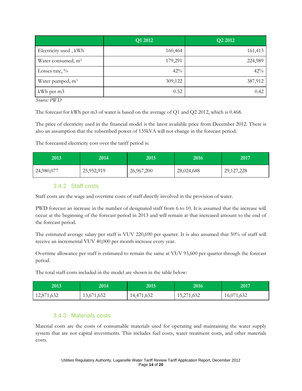|                                | Q1 2012 | Q2 2012 |
|--------------------------------|---------|---------|
| Electricity used, kWh          | 160,464 | 161,413 |
| Water consumed, m <sup>3</sup> | 179,291 | 224,989 |
| Losses rate, $\%$              | 42%     | 42%     |
| Water pumped, m <sup>3</sup>   | 309,122 | 387,912 |
| kWh per m3                     | 0.52    | 0.42    |

*Source: PWD*

The forecast for kWh per m3 of water is based on the average of Q1 and Q2 2012, which is 0.468.

The price of electricity used in the financial model is the latest available price from December 2012. There is also an assumption that the subscribed power of 135kVA will not change in the forecast period.

The forecasted electricity cost over the tariff period is:

| 2013       | 2014       | 2015       | 2016'      | 2017         |
|------------|------------|------------|------------|--------------|
| 24,980,077 | 25,952,919 | 26,967,200 | 28,024,688 | 29, 127, 228 |

#### 3.4.2 Staff costs

Staff costs are the wage and overtime costs of staff directly involved in the provision of water.

PWD forecast an increase in the number of designated staff from 6 to 10. It is assumed that the increase will occur at the beginning of the forecast period in 2013 and will remain at that increased amount to the end of the forecast period.

The estimated average salary per staff is VUV 220,690 per quarter. It is also assumed that 50% of staff will receive an incremental VUV 40,000 per month increase every year.

Overtime allowance per staff is estimated to remain the same at VUV 93,600 per quarter through the forecast period.

The total staff costs included in the model are shown in the table below:

| 2013       | 2014'      | 2015       | 2016'      | 2017       |
|------------|------------|------------|------------|------------|
| 12,871,632 | 13,671,632 | 14,471,632 | 15,271,632 | 16,071,632 |

#### 3.4.3 Materials costs

Material costs are the costs of consumable materials used for operating and maintaining the water supply system that are not capital investments. This includes fuel costs, water treatment costs, and other materials costs.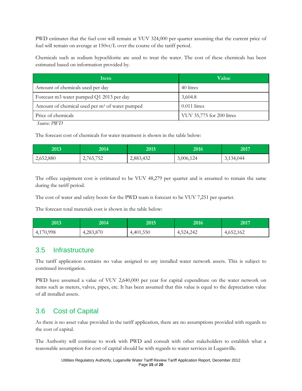PWD estimates that the fuel cost will remain at VUV 324,000 per quarter assuming that the current price of fuel will remain on average at 150vt/L over the course of the tariff period.

Chemicals such as sodium hypochlorite are used to treat the water. The cost of these chemicals has been estimated based on information provided by.

| <b>Item</b>                                                | <b>Value</b>              |
|------------------------------------------------------------|---------------------------|
| Amount of chemicals used per day                           | 40 litres                 |
| Forecast m3 water pumped Q1 2013 per day                   | 3,604.8                   |
| Amount of chemical used per m <sup>3</sup> of water pumped | $0.011$ litres            |
| Price of chemicals                                         | VUV 35,775 for 200 litres |

*Source: PWD*

The forecast cost of chemicals for water treatment is shown in the table below:

| 2013      | 2014'     | 2015'     | 2016      | 2017      |
|-----------|-----------|-----------|-----------|-----------|
| 2,652,880 | 2,765,752 | 2,883,432 | 3,006,124 | 3,134,044 |

The office equipment cost is estimated to be VUV 48,279 per quarter and is assumed to remain the same during the tariff period.

The cost of water and safety boots for the PWD team is forecast to be VUV 7,251 per quarter.

The forecast total materials cost is shown in the table below:

| 2013      | 2014      | 2015      | 2016      | 2017      |
|-----------|-----------|-----------|-----------|-----------|
| 4,170,998 | 4,283,870 | 4,401,550 | 4,524,242 | 4,652,162 |

### 3.5 Infrastructure

The tariff application contains no value assigned to any installed water network assets. This is subject to continued investigation.

PWD have assumed a value of VUV 2,640,000 per year for capital expenditure on the water network on items such as meters, valves, pipes, etc. It has been assumed that this value is equal to the depreciation value of all installed assets.

### 3.6 Cost of Capital

As there is no asset value provided in the tariff application, there are no assumptions provided with regards to the cost of capital.

The Authority will continue to work with PWD and consult with other stakeholders to establish what a reasonable assumption for cost of capital should be with regards to water services in Luganville.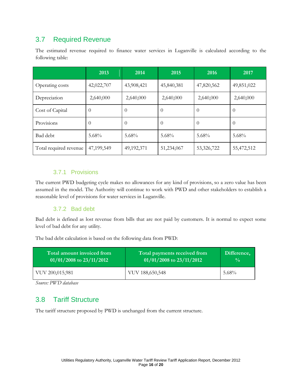### 3.7 Required Revenue

The estimated revenue required to finance water services in Luganville is calculated according to the following table:

|                        | 2013       | 2014         | 2015       | 2016       | 2017       |
|------------------------|------------|--------------|------------|------------|------------|
| Operating costs        | 42,022,707 | 43,908,421   | 45,840,381 | 47,820,562 | 49,851,022 |
| Depreciation           | 2,640,000  | 2,640,000    | 2,640,000  | 2,640,000  | 2,640,000  |
| Cost of Capital        | $\theta$   | $\theta$     | $\Omega$   | $\theta$   | $\theta$   |
| Provisions             | $\theta$   | $\Omega$     | $\Omega$   | 0          | $\theta$   |
| Bad debt               | $5.68\%$   | $5.68\%$     | $5.68\%$   | $5.68\%$   | $5.68\%$   |
| Total required revenue | 47,199,549 | 49, 192, 371 | 51,234,067 | 53,326,722 | 55,472,512 |

#### 3.7.1 Provisions

The current PWD budgeting cycle makes no allowances for any kind of provisions, so a zero value has been assumed in the model. The Authority will continue to work with PWD and other stakeholders to establish a reasonable level of provisions for water services in Luganville.

#### 3.7.2 Bad debt

Bad debt is defined as lost revenue from bills that are not paid by customers. It is normal to expect some level of bad debt for any utility.

The bad debt calculation is based on the following data from PWD:

| Total amount invoiced from   | Total payments received from | Difference,   |
|------------------------------|------------------------------|---------------|
| $01/01/2008$ to $23/11/2012$ | $01/01/2008$ to $23/11/2012$ | $\frac{0}{0}$ |
| VUV 200,015,981              | VUV 188,650,548              | $5.68\%$      |

*Source: PWD database*

### 3.8 Tariff Structure

The tariff structure proposed by PWD is unchanged from the current structure.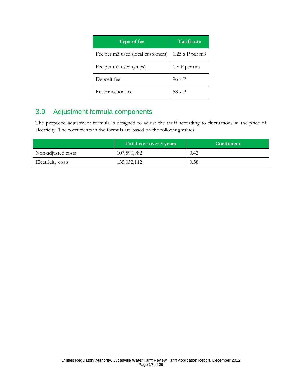| Type of fee                       | <b>Tariff rate</b> |
|-----------------------------------|--------------------|
| Fee per m3 used (local customers) | $1.25$ x P per m3  |
| Fee per m3 used (ships)           | 1 x P per m3       |
| Deposit fee                       | 96 x P             |
| Reconnection fee                  | 58 x P             |

## 3.9 Adjustment formula components

The proposed adjustment formula is designed to adjust the tariff according to fluctuations in the price of electricity. The coefficients in the formula are based on the following values

|                    | Total cost over 5 years | Coefficient |
|--------------------|-------------------------|-------------|
| Non-adjusted costs | 107,590,982             | 0.42        |
| Electricity costs  | 135,052,112             | 0.58        |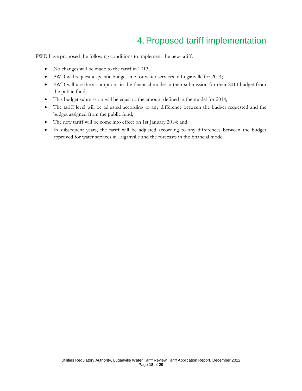## 4.Proposed tariff implementation

PWD have proposed the following conditions to implement the new tariff:

- No changes will be made to the tariff in 2013;
- PWD will request a specific budget line for water services in Luganville for 2014;
- PWD will use the assumptions in the financial model in their submission for their 2014 budget from the public fund;
- This budget submission will be equal to the amount defined in the model for 2014;
- The tariff level will be adjusted according to any difference between the budget requested and the budget assigned from the public fund;
- The new tariff will be come into effect on 1st January 2014; and
- In subsequent years, the tariff will be adjusted according to any differences between the budget approved for water services in Luganville and the forecasts in the financial model.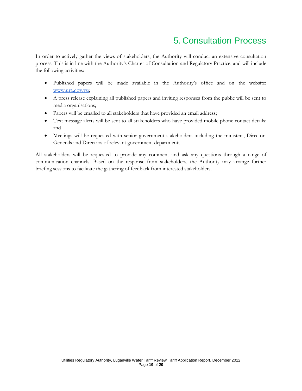## 5. Consultation Process

In order to actively gather the views of stakeholders, the Authority will conduct an extensive consultation process. This is in line with the Authority's Charter of Consultation and Regulatory Practice, and will include the following activities:

- Published papers will be made available in the Authority's office and on the website[:](http://www.ura.gov.vu/) [www.ura.gov.vu](http://www.ura.gov.vu/);
- A press release explaining all published papers and inviting responses from the public will be sent to media organisations;
- Papers will be emailed to all stakeholders that have provided an email address;
- Text message alerts will be sent to all stakeholders who have provided mobile phone contact details; and
- Meetings will be requested with senior government stakeholders including the ministers, Director-Generals and Directors of relevant government departments.

All stakeholders will be requested to provide any comment and ask any questions through a range of communication channels. Based on the response from stakeholders, the Authority may arrange further briefing sessions to facilitate the gathering of feedback from interested stakeholders.